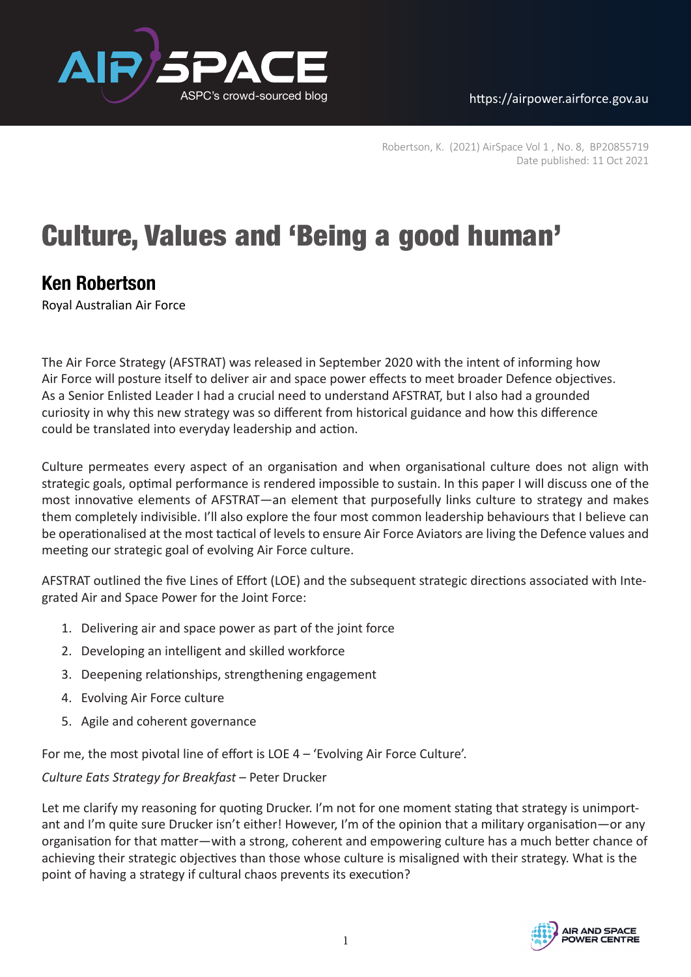ASPC's crowd-sourced blog https://airpower.airforce.gov.au



Robertson, K. (2021) AirSpace Vol 1 , No. 8, BP20855719 Date published: 11 Oct 2021

# Culture, Values and 'Being a good human'

# **Ken Robertson**

Royal Australian Air Force

The Air Force Strategy (AFSTRAT) was released in September 2020 with the intent of informing how Air Force will posture itself to deliver air and space power effects to meet broader Defence objectives. As a Senior Enlisted Leader I had a crucial need to understand AFSTRAT, but I also had a grounded curiosity in why this new strategy was so different from historical guidance and how this difference could be translated into everyday leadership and action.

Culture permeates every aspect of an organisation and when organisational culture does not align with strategic goals, optimal performance is rendered impossible to sustain. In this paper I will discuss one of the most innovative elements of AFSTRAT—an element that purposefully links culture to strategy and makes them completely indivisible. I'll also explore the four most common leadership behaviours that I believe can be operationalised at the most tactical of levels to ensure Air Force Aviators are living the Defence values and meeting our strategic goal of evolving Air Force culture.

AFSTRAT outlined the five Lines of Effort (LOE) and the subsequent strategic directions associated with Integrated Air and Space Power for the Joint Force:

- 1. Delivering air and space power as part of the joint force
- 2. Developing an intelligent and skilled workforce
- 3. Deepening relationships, strengthening engagement
- 4. Evolving Air Force culture
- 5. Agile and coherent governance

For me, the most pivotal line of effort is LOE 4 *–* 'Evolving Air Force Culture'.

*Culture Eats Strategy for Breakfast* – Peter Drucker

Let me clarify my reasoning for quoting Drucker. I'm not for one moment stating that strategy is unimportant and I'm quite sure Drucker isn't either! However, I'm of the opinion that a military organisation—or any organisation for that matter—with a strong, coherent and empowering culture has a much better chance of achieving their strategic objectives than those whose culture is misaligned with their strategy. What is the point of having a strategy if cultural chaos prevents its execution?

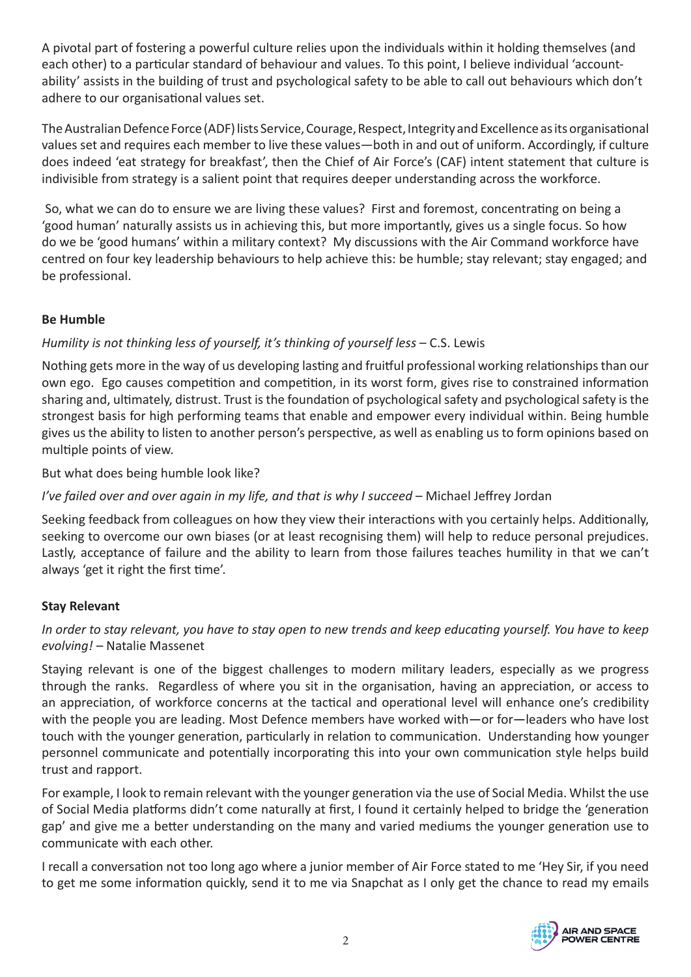A pivotal part of fostering a powerful culture relies upon the individuals within it holding themselves (and each other) to a particular standard of behaviour and values. To this point, I believe individual 'accountability' assists in the building of trust and psychological safety to be able to call out behaviours which don't adhere to our organisational values set.

The Australian Defence Force (ADF) lists Service, Courage, Respect, Integrity and Excellence as its organisational values set and requires each member to live these values—both in and out of uniform. Accordingly, if culture does indeed 'eat strategy for breakfast', then the Chief of Air Force's (CAF) intent statement that culture is indivisible from strategy is a salient point that requires deeper understanding across the workforce.

So, what we can do to ensure we are living these values? First and foremost, concentrating on being a 'good human' naturally assists us in achieving this, but more importantly, gives us a single focus. So how do we be 'good humans' within a military context? My discussions with the Air Command workforce have centred on four key leadership behaviours to help achieve this: be humble; stay relevant; stay engaged; and be professional.

#### **Be Humble**

# *Humility is not thinking less of yourself, it's thinking of yourself less* – C.S. Lewis

Nothing gets more in the way of us developing lasting and fruitful professional working relationships than our own ego. Ego causes competition and competition, in its worst form, gives rise to constrained information sharing and, ultimately, distrust. Trust is the foundation of psychological safety and psychological safety is the strongest basis for high performing teams that enable and empower every individual within. Being humble gives us the ability to listen to another person's perspective, as well as enabling us to form opinions based on multiple points of view.

But what does being humble look like?

# *I've failed over and over again in my life, and that is why I succeed* – Michael Jeffrey Jordan

Seeking feedback from colleagues on how they view their interactions with you certainly helps. Additionally, seeking to overcome our own biases (or at least recognising them) will help to reduce personal prejudices. Lastly, acceptance of failure and the ability to learn from those failures teaches humility in that we can't always 'get it right the first time'.

# **Stay Relevant**

# *In order to stay relevant, you have to stay open to new trends and keep educating yourself. You have to keep evolving!* – Natalie Massenet

Staying relevant is one of the biggest challenges to modern military leaders, especially as we progress through the ranks. Regardless of where you sit in the organisation, having an appreciation, or access to an appreciation, of workforce concerns at the tactical and operational level will enhance one's credibility with the people you are leading. Most Defence members have worked with—or for—leaders who have lost touch with the younger generation, particularly in relation to communication. Understanding how younger personnel communicate and potentially incorporating this into your own communication style helps build trust and rapport.

For example, I look to remain relevant with the younger generation via the use of Social Media. Whilst the use of Social Media platforms didn't come naturally at first, I found it certainly helped to bridge the 'generation gap' and give me a better understanding on the many and varied mediums the younger generation use to communicate with each other.

I recall a conversation not too long ago where a junior member of Air Force stated to me 'Hey Sir, if you need to get me some information quickly, send it to me via Snapchat as I only get the chance to read my emails

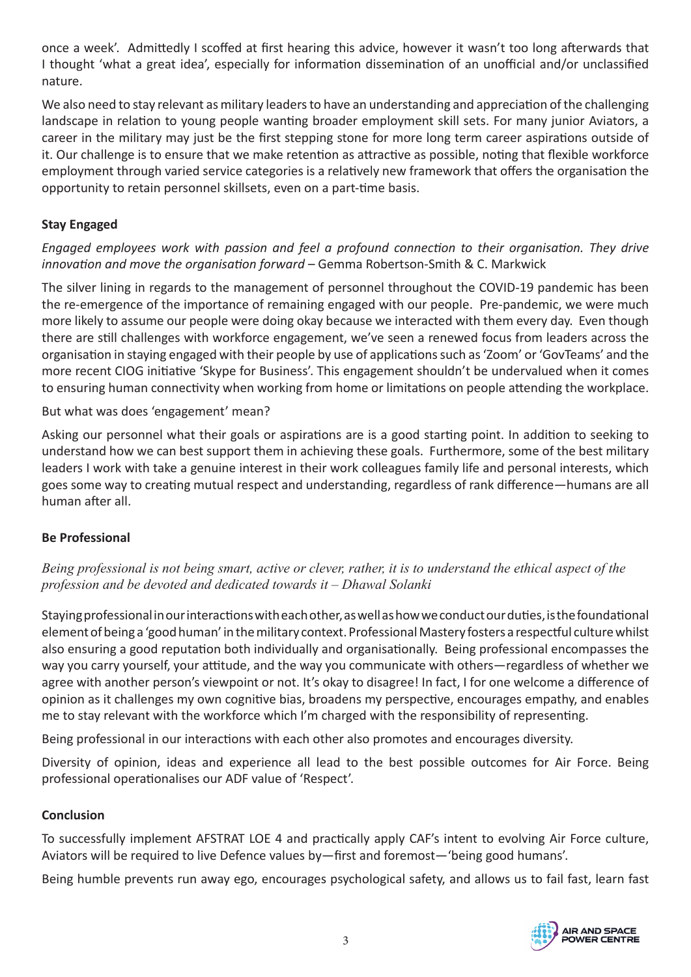once a week'. Admittedly I scoffed at first hearing this advice, however it wasn't too long afterwards that I thought 'what a great idea', especially for information dissemination of an unofficial and/or unclassified nature.

We also need to stay relevant as military leaders to have an understanding and appreciation of the challenging landscape in relation to young people wanting broader employment skill sets. For many junior Aviators, a career in the military may just be the first stepping stone for more long term career aspirations outside of it. Our challenge is to ensure that we make retention as attractive as possible, noting that flexible workforce employment through varied service categories is a relatively new framework that offers the organisation the opportunity to retain personnel skillsets, even on a part-time basis.

# **Stay Engaged**

#### *Engaged employees work with passion and feel a profound connection to their organisation. They drive innovation and move the organisation forward –* Gemma Robertson-Smith & C. Markwick

The silver lining in regards to the management of personnel throughout the COVID-19 pandemic has been the re-emergence of the importance of remaining engaged with our people. Pre-pandemic, we were much more likely to assume our people were doing okay because we interacted with them every day. Even though there are still challenges with workforce engagement, we've seen a renewed focus from leaders across the organisation in staying engaged with their people by use of applications such as 'Zoom' or 'GovTeams' and the more recent CIOG initiative 'Skype for Business'. This engagement shouldn't be undervalued when it comes to ensuring human connectivity when working from home or limitations on people attending the workplace.

#### But what was does 'engagement' mean?

Asking our personnel what their goals or aspirations are is a good starting point. In addition to seeking to understand how we can best support them in achieving these goals. Furthermore, some of the best military leaders I work with take a genuine interest in their work colleagues family life and personal interests, which goes some way to creating mutual respect and understanding, regardless of rank difference—humans are all human after all.

#### **Be Professional**

#### *Being professional is not being smart, active or clever, rather, it is to understand the ethical aspect of the profession and be devoted and dedicated towards it – Dhawal Solanki*

Staying professional in our interactions with each other, as well as how we conduct our duties, is the foundational element of being a 'good human' in the military context. Professional Mastery fosters a respectful culture whilst also ensuring a good reputation both individually and organisationally. Being professional encompasses the way you carry yourself, your attitude, and the way you communicate with others—regardless of whether we agree with another person's viewpoint or not. It's okay to disagree! In fact, I for one welcome a difference of opinion as it challenges my own cognitive bias, broadens my perspective, encourages empathy, and enables me to stay relevant with the workforce which I'm charged with the responsibility of representing.

Being professional in our interactions with each other also promotes and encourages diversity.

Diversity of opinion, ideas and experience all lead to the best possible outcomes for Air Force. Being professional operationalises our ADF value of 'Respect'.

#### **Conclusion**

To successfully implement AFSTRAT LOE 4 and practically apply CAF's intent to evolving Air Force culture, Aviators will be required to live Defence values by—first and foremost—'being good humans'.

Being humble prevents run away ego, encourages psychological safety, and allows us to fail fast, learn fast